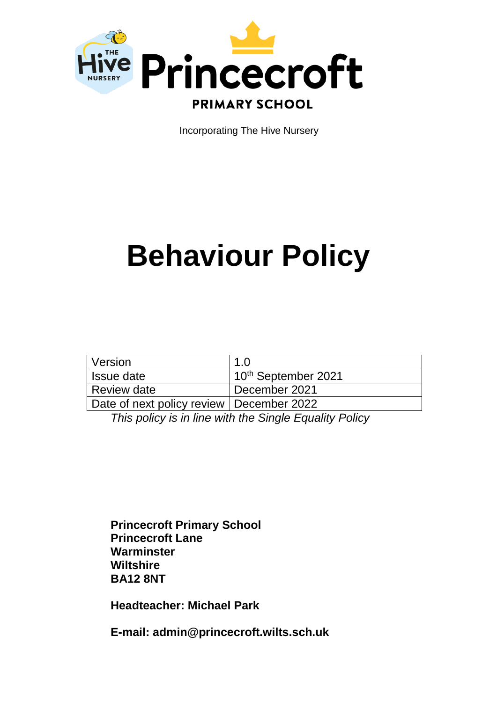

Incorporating The Hive Nursery

# **Behaviour Policy**

| Version                                    | $\overline{1}$ $\overline{0}$   |
|--------------------------------------------|---------------------------------|
| Issue date                                 | 10 <sup>th</sup> September 2021 |
| <b>Review date</b>                         | December 2021                   |
| Date of next policy review   December 2022 |                                 |

*This policy is in line with the Single Equality Policy*

**Princecroft Primary School Princecroft Lane Warminster Wiltshire BA12 8NT**

**Headteacher: Michael Park**

**E-mail: admin@princecroft.wilts.sch.uk**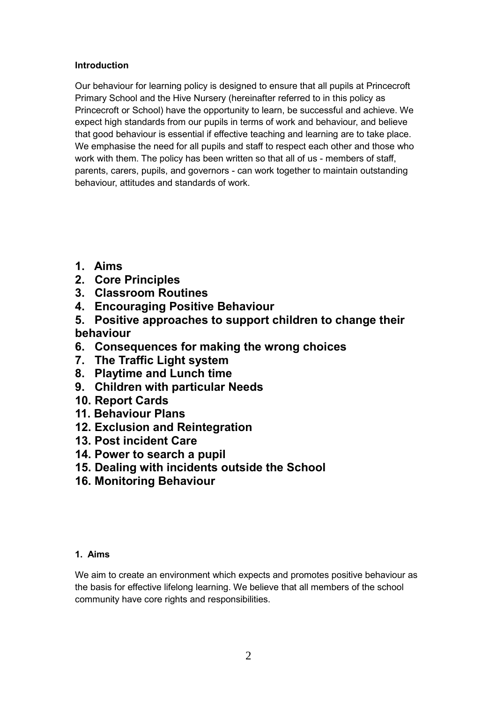# **Introduction**

Our behaviour for learning policy is designed to ensure that all pupils at Princecroft Primary School and the Hive Nursery (hereinafter referred to in this policy as Princecroft or School) have the opportunity to learn, be successful and achieve. We expect high standards from our pupils in terms of work and behaviour, and believe that good behaviour is essential if effective teaching and learning are to take place. We emphasise the need for all pupils and staff to respect each other and those who work with them. The policy has been written so that all of us - members of staff, parents, carers, pupils, and governors - can work together to maintain outstanding behaviour, attitudes and standards of work.

- **1. Aims**
- **2. Core Principles**
- **3. Classroom Routines**
- **4. Encouraging Positive Behaviour**
- **5. Positive approaches to support children to change their behaviour**
- **6. Consequences for making the wrong choices**
- **7. The Traffic Light system**
- **8. Playtime and Lunch time**
- **9. Children with particular Needs**
- **10. Report Cards**
- **11. Behaviour Plans**
- **12. Exclusion and Reintegration**
- **13. Post incident Care**
- **14. Power to search a pupil**
- **15. Dealing with incidents outside the School**
- **16. Monitoring Behaviour**

# **1. Aims**

We aim to create an environment which expects and promotes positive behaviour as the basis for effective lifelong learning. We believe that all members of the school community have core rights and responsibilities.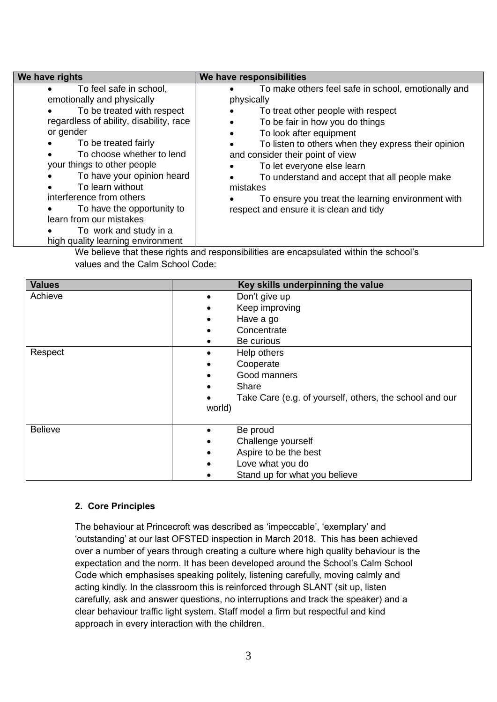| We have rights                                                                                                                                                                                                                                                                                                                                                                                                                        | We have responsibilities                                                                                                                                                                                                                                                                                                                                                                                                                                                              |
|---------------------------------------------------------------------------------------------------------------------------------------------------------------------------------------------------------------------------------------------------------------------------------------------------------------------------------------------------------------------------------------------------------------------------------------|---------------------------------------------------------------------------------------------------------------------------------------------------------------------------------------------------------------------------------------------------------------------------------------------------------------------------------------------------------------------------------------------------------------------------------------------------------------------------------------|
| To feel safe in school,<br>emotionally and physically<br>To be treated with respect<br>regardless of ability, disability, race<br>or gender<br>To be treated fairly<br>To choose whether to lend<br>your things to other people<br>To have your opinion heard<br>To learn without<br>interference from others<br>To have the opportunity to<br>learn from our mistakes<br>To work and study in a<br>high quality learning environment | To make others feel safe in school, emotionally and<br>physically<br>To treat other people with respect<br>To be fair in how you do things<br>$\bullet$<br>To look after equipment<br>$\bullet$<br>To listen to others when they express their opinion<br>and consider their point of view<br>To let everyone else learn<br>To understand and accept that all people make<br>mistakes<br>To ensure you treat the learning environment with<br>respect and ensure it is clean and tidy |

We believe that these rights and responsibilities are encapsulated within the school's values and the Calm School Code:

| <b>Values</b>  | Key skills underpinning the value                       |
|----------------|---------------------------------------------------------|
| Achieve        | Don't give up<br>$\bullet$                              |
|                | Keep improving                                          |
|                | Have a go                                               |
|                | Concentrate                                             |
|                | Be curious                                              |
| Respect        | Help others                                             |
|                | Cooperate<br>$\bullet$                                  |
|                | Good manners<br>$\bullet$                               |
|                | Share<br>$\bullet$                                      |
|                | Take Care (e.g. of yourself, others, the school and our |
|                | world)                                                  |
|                |                                                         |
| <b>Believe</b> | Be proud                                                |
|                | Challenge yourself                                      |
|                | Aspire to be the best                                   |
|                | Love what you do                                        |
|                | Stand up for what you believe                           |

# **2. Core Principles**

The behaviour at Princecroft was described as 'impeccable', 'exemplary' and 'outstanding' at our last OFSTED inspection in March 2018. This has been achieved over a number of years through creating a culture where high quality behaviour is the expectation and the norm. It has been developed around the School's Calm School Code which emphasises speaking politely, listening carefully, moving calmly and acting kindly. In the classroom this is reinforced through SLANT (sit up, listen carefully, ask and answer questions, no interruptions and track the speaker) and a clear behaviour traffic light system. Staff model a firm but respectful and kind approach in every interaction with the children.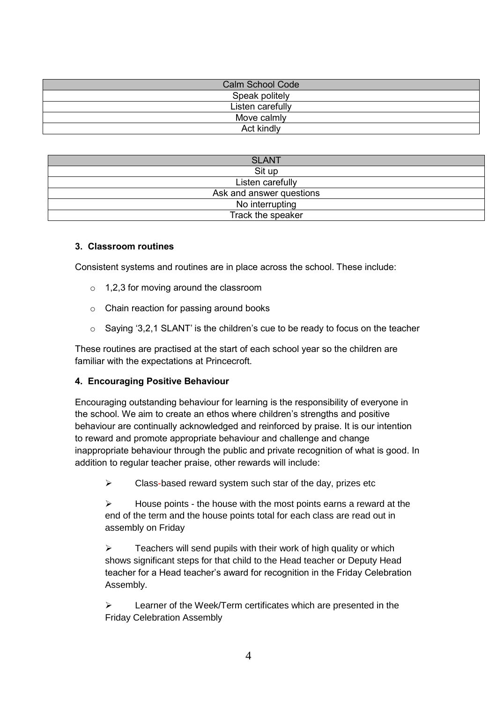| <b>Calm School Code</b> |  |  |
|-------------------------|--|--|
| Speak politely          |  |  |
| Listen carefully        |  |  |
| Move calmly             |  |  |
| Act kindly              |  |  |

| <b>SLANT</b>             |  |  |
|--------------------------|--|--|
| Sit up                   |  |  |
| Listen carefully         |  |  |
| Ask and answer questions |  |  |
| No interrupting          |  |  |
| Track the speaker        |  |  |

#### **3. Classroom routines**

Consistent systems and routines are in place across the school. These include:

- $\circ$  1,2,3 for moving around the classroom
- o Chain reaction for passing around books
- o Saying '3,2,1 SLANT' is the children's cue to be ready to focus on the teacher

These routines are practised at the start of each school year so the children are familiar with the expectations at Princecroft.

# **4. Encouraging Positive Behaviour**

Encouraging outstanding behaviour for learning is the responsibility of everyone in the school. We aim to create an ethos where children's strengths and positive behaviour are continually acknowledged and reinforced by praise. It is our intention to reward and promote appropriate behaviour and challenge and change inappropriate behaviour through the public and private recognition of what is good. In addition to regular teacher praise, other rewards will include:

 $\triangleright$  Class-based reward system such star of the day, prizes etc

 $\triangleright$  House points - the house with the most points earns a reward at the end of the term and the house points total for each class are read out in assembly on Friday

 $\triangleright$  Teachers will send pupils with their work of high quality or which shows significant steps for that child to the Head teacher or Deputy Head teacher for a Head teacher's award for recognition in the Friday Celebration Assembly.

 $\triangleright$  Learner of the Week/Term certificates which are presented in the Friday Celebration Assembly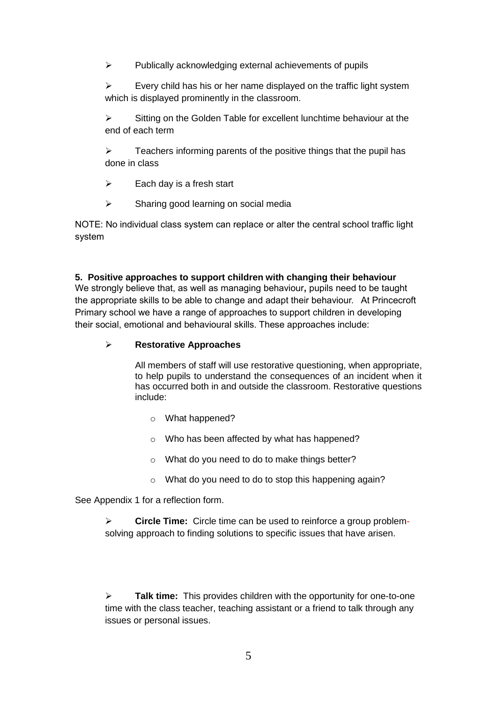$\triangleright$  Publically acknowledging external achievements of pupils

 $\triangleright$  Every child has his or her name displayed on the traffic light system which is displayed prominently in the classroom.

 $\triangleright$  Sitting on the Golden Table for excellent lunchtime behaviour at the end of each term

 Teachers informing parents of the positive things that the pupil has done in class

 $\triangleright$  Each day is a fresh start

 $\triangleright$  Sharing good learning on social media

NOTE: No individual class system can replace or alter the central school traffic light system

#### **5. Positive approaches to support children with changing their behaviour**

We strongly believe that, as well as managing behaviour**,** pupils need to be taught the appropriate skills to be able to change and adapt their behaviour. At Princecroft Primary school we have a range of approaches to support children in developing their social, emotional and behavioural skills. These approaches include:

### **Restorative Approaches**

All members of staff will use restorative questioning, when appropriate, to help pupils to understand the consequences of an incident when it has occurred both in and outside the classroom. Restorative questions include:

- o What happened?
- o Who has been affected by what has happened?
- o What do you need to do to make things better?
- o What do you need to do to stop this happening again?

See Appendix 1 for a reflection form.

 **Circle Time:** Circle time can be used to reinforce a group problemsolving approach to finding solutions to specific issues that have arisen.

 **Talk time:** This provides children with the opportunity for one-to-one time with the class teacher, teaching assistant or a friend to talk through any issues or personal issues.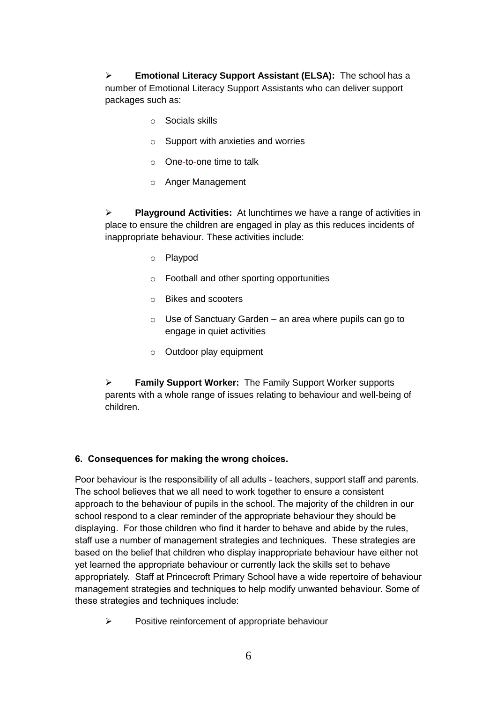**Emotional Literacy Support Assistant (ELSA):** The school has a number of Emotional Literacy Support Assistants who can deliver support packages such as:

- o Socials skills
- o Support with anxieties and worries
- o One-to-one time to talk
- o Anger Management

 **Playground Activities:** At lunchtimes we have a range of activities in place to ensure the children are engaged in play as this reduces incidents of inappropriate behaviour. These activities include:

- o Playpod
- o Football and other sporting opportunities
- o Bikes and scooters
- $\circ$  Use of Sanctuary Garden an area where pupils can go to engage in quiet activities
- o Outdoor play equipment

 **Family Support Worker:** The Family Support Worker supports parents with a whole range of issues relating to behaviour and well-being of children.

# **6. Consequences for making the wrong choices.**

Poor behaviour is the responsibility of all adults - teachers, support staff and parents. The school believes that we all need to work together to ensure a consistent approach to the behaviour of pupils in the school. The majority of the children in our school respond to a clear reminder of the appropriate behaviour they should be displaying. For those children who find it harder to behave and abide by the rules, staff use a number of management strategies and techniques. These strategies are based on the belief that children who display inappropriate behaviour have either not yet learned the appropriate behaviour or currently lack the skills set to behave appropriately. Staff at Princecroft Primary School have a wide repertoire of behaviour management strategies and techniques to help modify unwanted behaviour. Some of these strategies and techniques include:

 $\triangleright$  Positive reinforcement of appropriate behaviour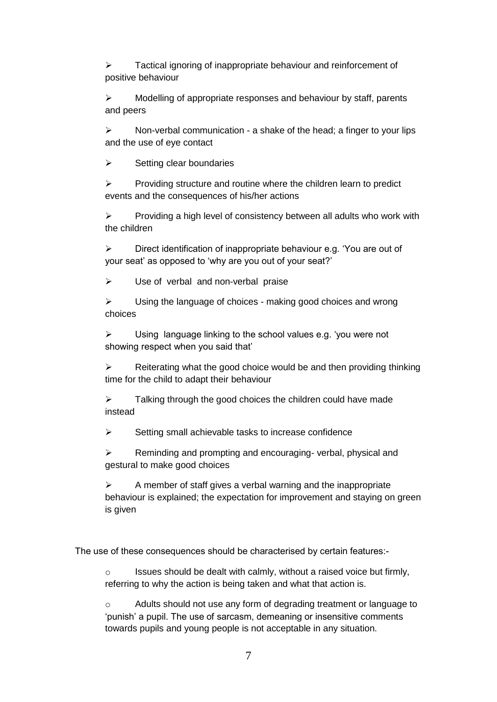$\triangleright$  Tactical ignoring of inappropriate behaviour and reinforcement of positive behaviour

 $\triangleright$  Modelling of appropriate responses and behaviour by staff, parents and peers

 $\triangleright$  Non-verbal communication - a shake of the head; a finger to your lips and the use of eye contact

 $\triangleright$  Setting clear boundaries

 $\triangleright$  Providing structure and routine where the children learn to predict events and the consequences of his/her actions

 $\triangleright$  Providing a high level of consistency between all adults who work with the children

 $\triangleright$  Direct identification of inappropriate behaviour e.g. 'You are out of your seat' as opposed to 'why are you out of your seat?'

 $\triangleright$  Use of verbal and non-verbal praise

 $\triangleright$  Using the language of choices - making good choices and wrong choices

 $\triangleright$  Using language linking to the school values e.g. 'you were not showing respect when you said that'

 $\triangleright$  Reiterating what the good choice would be and then providing thinking time for the child to adapt their behaviour

 $\triangleright$  Talking through the good choices the children could have made instead

 $\triangleright$  Setting small achievable tasks to increase confidence

 $\triangleright$  Reminding and prompting and encouraging-verbal, physical and gestural to make good choices

 $\triangleright$  A member of staff gives a verbal warning and the inappropriate behaviour is explained; the expectation for improvement and staying on green is given

The use of these consequences should be characterised by certain features:-

o Issues should be dealt with calmly, without a raised voice but firmly, referring to why the action is being taken and what that action is.

o Adults should not use any form of degrading treatment or language to 'punish' a pupil. The use of sarcasm, demeaning or insensitive comments towards pupils and young people is not acceptable in any situation.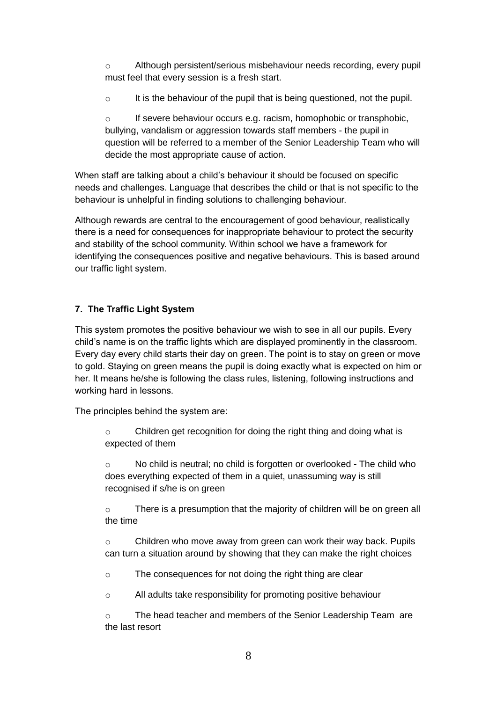o Although persistent/serious misbehaviour needs recording, every pupil must feel that every session is a fresh start.

o It is the behaviour of the pupil that is being questioned, not the pupil.

 $\circ$  If severe behaviour occurs e.g. racism, homophobic or transphobic, bullying, vandalism or aggression towards staff members - the pupil in question will be referred to a member of the Senior Leadership Team who will decide the most appropriate cause of action.

When staff are talking about a child's behaviour it should be focused on specific needs and challenges. Language that describes the child or that is not specific to the behaviour is unhelpful in finding solutions to challenging behaviour.

Although rewards are central to the encouragement of good behaviour, realistically there is a need for consequences for inappropriate behaviour to protect the security and stability of the school community. Within school we have a framework for identifying the consequences positive and negative behaviours. This is based around our traffic light system.

# **7. The Traffic Light System**

This system promotes the positive behaviour we wish to see in all our pupils. Every child's name is on the traffic lights which are displayed prominently in the classroom. Every day every child starts their day on green. The point is to stay on green or move to gold. Staying on green means the pupil is doing exactly what is expected on him or her. It means he/she is following the class rules, listening, following instructions and working hard in lessons.

The principles behind the system are:

o Children get recognition for doing the right thing and doing what is expected of them

o No child is neutral; no child is forgotten or overlooked - The child who does everything expected of them in a quiet, unassuming way is still recognised if s/he is on green

 $\circ$  There is a presumption that the majority of children will be on green all the time

 $\circ$  Children who move away from green can work their way back. Pupils can turn a situation around by showing that they can make the right choices

o The consequences for not doing the right thing are clear

o All adults take responsibility for promoting positive behaviour

o The head teacher and members of the Senior Leadership Team are the last resort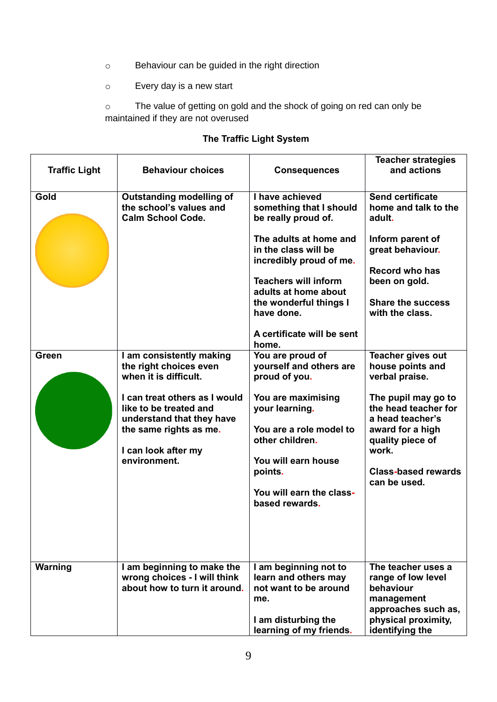- o Behaviour can be guided in the right direction
- o Every day is a new start

o The value of getting on gold and the shock of going on red can only be maintained if they are not overused

| <b>Traffic Light</b> | <b>Behaviour choices</b>                                                                                                                                                                                                             | <b>Consequences</b>                                                                                                                                                                                                                                                                  | <b>Teacher strategies</b><br>and actions                                                                                                                                                                                         |
|----------------------|--------------------------------------------------------------------------------------------------------------------------------------------------------------------------------------------------------------------------------------|--------------------------------------------------------------------------------------------------------------------------------------------------------------------------------------------------------------------------------------------------------------------------------------|----------------------------------------------------------------------------------------------------------------------------------------------------------------------------------------------------------------------------------|
| Gold                 | <b>Outstanding modelling of</b><br>the school's values and<br><b>Calm School Code.</b>                                                                                                                                               | I have achieved<br>something that I should<br>be really proud of.<br>The adults at home and<br>in the class will be<br>incredibly proud of me.<br><b>Teachers will inform</b><br>adults at home about<br>the wonderful things I<br>have done.<br>A certificate will be sent<br>home. | <b>Send certificate</b><br>home and talk to the<br>adult.<br>Inform parent of<br>great behaviour.<br><b>Record who has</b><br>been on gold.<br><b>Share the success</b><br>with the class.                                       |
| Green                | I am consistently making<br>the right choices even<br>when it is difficult.<br>I can treat others as I would<br>like to be treated and<br>understand that they have<br>the same rights as me.<br>I can look after my<br>environment. | You are proud of<br>yourself and others are<br>proud of you.<br>You are maximising<br>your learning.<br>You are a role model to<br>other children.<br>You will earn house<br>points.<br>You will earn the class-<br>based rewards.                                                   | <b>Teacher gives out</b><br>house points and<br>verbal praise.<br>The pupil may go to<br>the head teacher for<br>a head teacher's<br>award for a high<br>quality piece of<br>work.<br><b>Class-based rewards</b><br>can be used. |
| Warning              | I am beginning to make the<br>wrong choices - I will think<br>about how to turn it around.                                                                                                                                           | I am beginning not to<br>learn and others may<br>not want to be around<br>me.<br>I am disturbing the<br>learning of my friends.                                                                                                                                                      | The teacher uses a<br>range of low level<br>behaviour<br>management<br>approaches such as,<br>physical proximity,<br>identifying the                                                                                             |

# **The Traffic Light System**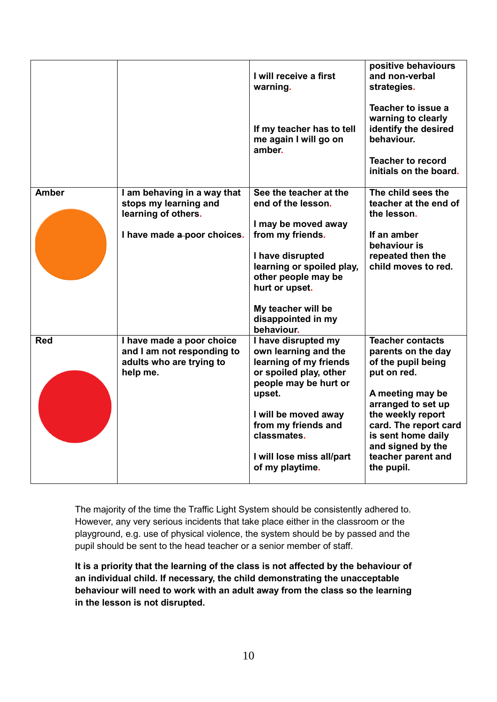|              |                                                                                                 | I will receive a first<br>warning.                                                                                                                                                          | positive behaviours<br>and non-verbal<br>strategies.                                                                                 |
|--------------|-------------------------------------------------------------------------------------------------|---------------------------------------------------------------------------------------------------------------------------------------------------------------------------------------------|--------------------------------------------------------------------------------------------------------------------------------------|
|              |                                                                                                 | If my teacher has to tell<br>me again I will go on<br>amber.                                                                                                                                | Teacher to issue a<br>warning to clearly<br>identify the desired<br>behaviour.<br><b>Teacher to record</b><br>initials on the board. |
| <b>Amber</b> | I am behaving in a way that<br>stops my learning and<br>learning of others.                     | See the teacher at the<br>end of the lesson.                                                                                                                                                | The child sees the<br>teacher at the end of<br>the lesson.                                                                           |
|              | I have made a poor choices.                                                                     | I may be moved away<br>from my friends.<br>I have disrupted<br>learning or spoiled play,<br>other people may be<br>hurt or upset.<br>My teacher will be<br>disappointed in my<br>behaviour. | If an amber<br>behaviour is<br>repeated then the<br>child moves to red.                                                              |
| <b>Red</b>   | I have made a poor choice<br>and I am not responding to<br>adults who are trying to<br>help me. | I have disrupted my<br>own learning and the<br>learning of my friends<br>or spoiled play, other<br>people may be hurt or<br>upset.                                                          | <b>Teacher contacts</b><br>parents on the day<br>of the pupil being<br>put on red.<br>A meeting may be<br>arranged to set up         |
|              |                                                                                                 | I will be moved away<br>from my friends and<br>classmates.<br>I will lose miss all/part<br>of my playtime.                                                                                  | the weekly report<br>card. The report card<br>is sent home daily<br>and signed by the<br>teacher parent and<br>the pupil.            |

The majority of the time the Traffic Light System should be consistently adhered to. However, any very serious incidents that take place either in the classroom or the playground, e.g. use of physical violence, the system should be by passed and the pupil should be sent to the head teacher or a senior member of staff.

**It is a priority that the learning of the class is not affected by the behaviour of an individual child. If necessary, the child demonstrating the unacceptable behaviour will need to work with an adult away from the class so the learning in the lesson is not disrupted.**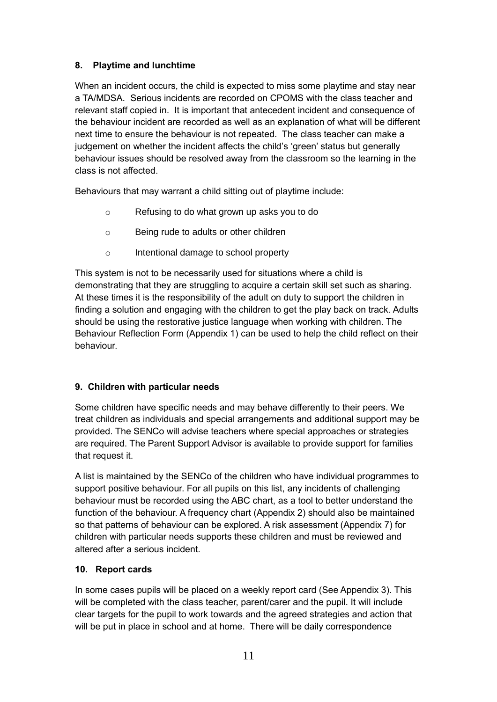# **8. Playtime and lunchtime**

When an incident occurs, the child is expected to miss some playtime and stay near a TA/MDSA. Serious incidents are recorded on CPOMS with the class teacher and relevant staff copied in. It is important that antecedent incident and consequence of the behaviour incident are recorded as well as an explanation of what will be different next time to ensure the behaviour is not repeated. The class teacher can make a judgement on whether the incident affects the child's 'green' status but generally behaviour issues should be resolved away from the classroom so the learning in the class is not affected.

Behaviours that may warrant a child sitting out of playtime include:

- o Refusing to do what grown up asks you to do
- o Being rude to adults or other children
- o Intentional damage to school property

This system is not to be necessarily used for situations where a child is demonstrating that they are struggling to acquire a certain skill set such as sharing. At these times it is the responsibility of the adult on duty to support the children in finding a solution and engaging with the children to get the play back on track. Adults should be using the restorative justice language when working with children. The Behaviour Reflection Form (Appendix 1) can be used to help the child reflect on their behaviour.

# **9. Children with particular needs**

Some children have specific needs and may behave differently to their peers. We treat children as individuals and special arrangements and additional support may be provided. The SENCo will advise teachers where special approaches or strategies are required. The Parent Support Advisor is available to provide support for families that request it.

A list is maintained by the SENCo of the children who have individual programmes to support positive behaviour. For all pupils on this list, any incidents of challenging behaviour must be recorded using the ABC chart, as a tool to better understand the function of the behaviour. A frequency chart (Appendix 2) should also be maintained so that patterns of behaviour can be explored. A risk assessment (Appendix 7) for children with particular needs supports these children and must be reviewed and altered after a serious incident.

# **10. Report cards**

In some cases pupils will be placed on a weekly report card (See Appendix 3). This will be completed with the class teacher, parent/carer and the pupil. It will include clear targets for the pupil to work towards and the agreed strategies and action that will be put in place in school and at home. There will be daily correspondence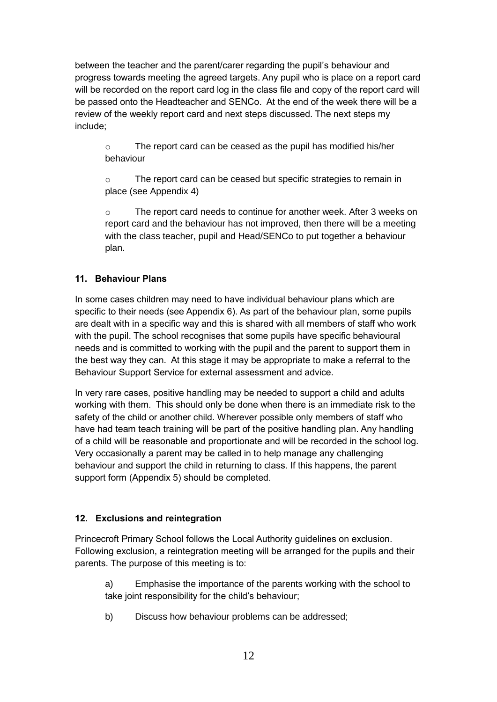between the teacher and the parent/carer regarding the pupil's behaviour and progress towards meeting the agreed targets. Any pupil who is place on a report card will be recorded on the report card log in the class file and copy of the report card will be passed onto the Headteacher and SENCo. At the end of the week there will be a review of the weekly report card and next steps discussed. The next steps my include;

o The report card can be ceased as the pupil has modified his/her behaviour

o The report card can be ceased but specific strategies to remain in place (see Appendix 4)

o The report card needs to continue for another week. After 3 weeks on report card and the behaviour has not improved, then there will be a meeting with the class teacher, pupil and Head/SENCo to put together a behaviour plan.

# **11. Behaviour Plans**

In some cases children may need to have individual behaviour plans which are specific to their needs (see Appendix 6). As part of the behaviour plan, some pupils are dealt with in a specific way and this is shared with all members of staff who work with the pupil. The school recognises that some pupils have specific behavioural needs and is committed to working with the pupil and the parent to support them in the best way they can. At this stage it may be appropriate to make a referral to the Behaviour Support Service for external assessment and advice.

In very rare cases, positive handling may be needed to support a child and adults working with them. This should only be done when there is an immediate risk to the safety of the child or another child. Wherever possible only members of staff who have had team teach training will be part of the positive handling plan. Any handling of a child will be reasonable and proportionate and will be recorded in the school log. Very occasionally a parent may be called in to help manage any challenging behaviour and support the child in returning to class. If this happens, the parent support form (Appendix 5) should be completed.

# **12. Exclusions and reintegration**

Princecroft Primary School follows the Local Authority guidelines on exclusion. Following exclusion, a reintegration meeting will be arranged for the pupils and their parents. The purpose of this meeting is to:

a) Emphasise the importance of the parents working with the school to take joint responsibility for the child's behaviour;

b) Discuss how behaviour problems can be addressed;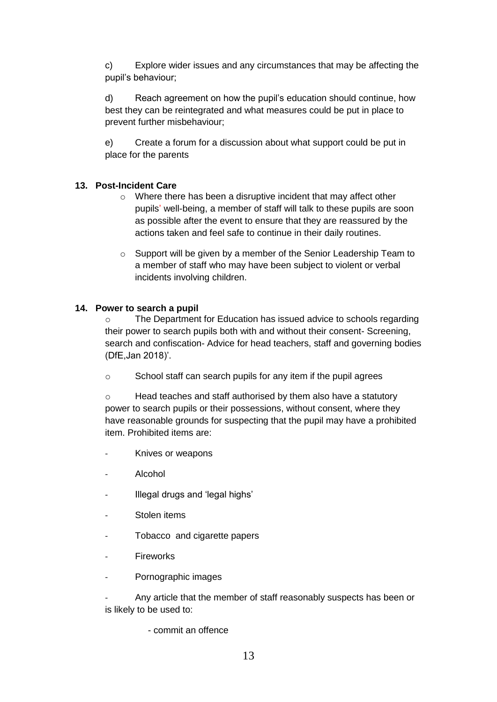c) Explore wider issues and any circumstances that may be affecting the pupil's behaviour;

d) Reach agreement on how the pupil's education should continue, how best they can be reintegrated and what measures could be put in place to prevent further misbehaviour;

e) Create a forum for a discussion about what support could be put in place for the parents

### **13. Post-Incident Care**

- o Where there has been a disruptive incident that may affect other pupils' well-being, a member of staff will talk to these pupils are soon as possible after the event to ensure that they are reassured by the actions taken and feel safe to continue in their daily routines.
- o Support will be given by a member of the Senior Leadership Team to a member of staff who may have been subject to violent or verbal incidents involving children.

#### **14. Power to search a pupil**

o The Department for Education has issued advice to schools regarding their power to search pupils both with and without their consent- Screening, search and confiscation- Advice for head teachers, staff and governing bodies (DfE,Jan 2018)'.

o School staff can search pupils for any item if the pupil agrees

o Head teaches and staff authorised by them also have a statutory power to search pupils or their possessions, without consent, where they have reasonable grounds for suspecting that the pupil may have a prohibited item. Prohibited items are:

- Knives or weapons
- Alcohol
- Illegal drugs and 'legal highs'
- Stolen items
- Tobacco and cigarette papers
- **Fireworks**
- Pornographic images

Any article that the member of staff reasonably suspects has been or is likely to be used to:

- commit an offence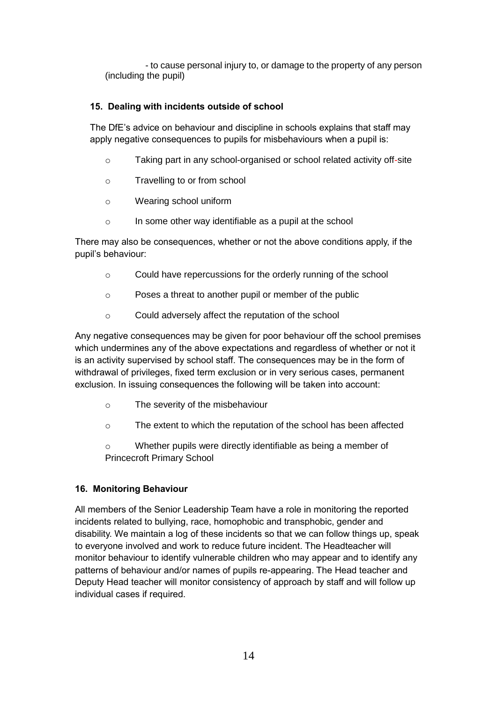- to cause personal injury to, or damage to the property of any person (including the pupil)

# **15. Dealing with incidents outside of school**

The DfE's advice on behaviour and discipline in schools explains that staff may apply negative consequences to pupils for misbehaviours when a pupil is:

- o Taking part in any school-organised or school related activity off-site
- o Travelling to or from school
- o Wearing school uniform
- o In some other way identifiable as a pupil at the school

There may also be consequences, whether or not the above conditions apply, if the pupil's behaviour:

- o Could have repercussions for the orderly running of the school
- o Poses a threat to another pupil or member of the public
- o Could adversely affect the reputation of the school

Any negative consequences may be given for poor behaviour off the school premises which undermines any of the above expectations and regardless of whether or not it is an activity supervised by school staff. The consequences may be in the form of withdrawal of privileges, fixed term exclusion or in very serious cases, permanent exclusion. In issuing consequences the following will be taken into account:

- o The severity of the misbehaviour
- o The extent to which the reputation of the school has been affected
- o Whether pupils were directly identifiable as being a member of Princecroft Primary School

# **16. Monitoring Behaviour**

All members of the Senior Leadership Team have a role in monitoring the reported incidents related to bullying, race, homophobic and transphobic, gender and disability. We maintain a log of these incidents so that we can follow things up, speak to everyone involved and work to reduce future incident. The Headteacher will monitor behaviour to identify vulnerable children who may appear and to identify any patterns of behaviour and/or names of pupils re-appearing. The Head teacher and Deputy Head teacher will monitor consistency of approach by staff and will follow up individual cases if required.